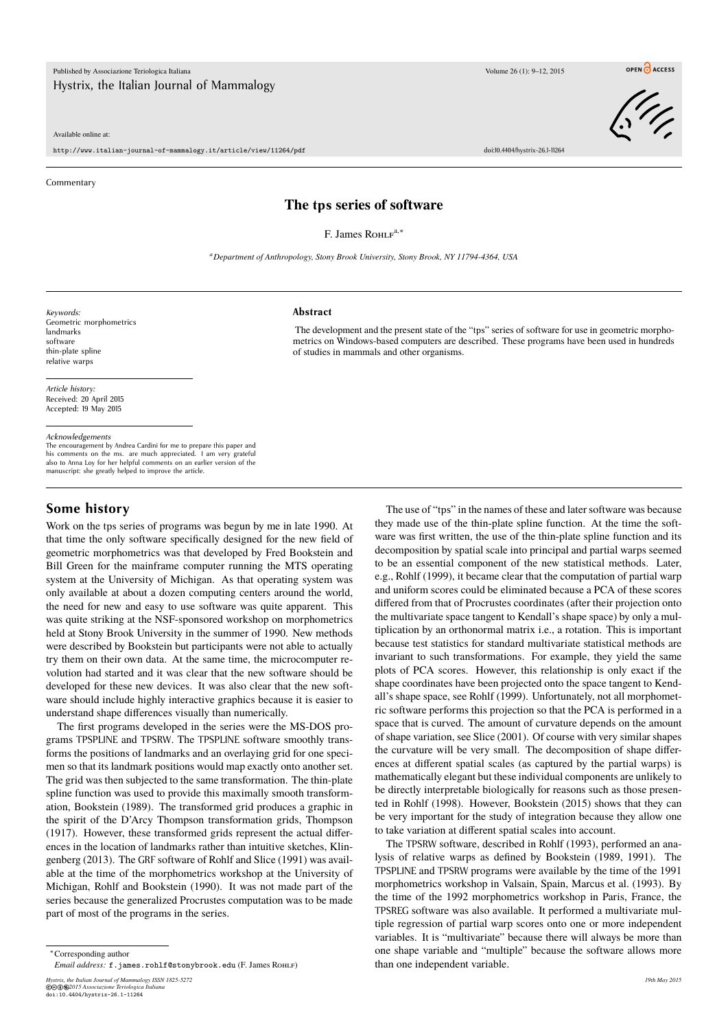Published by Associazione Teriologica Italiana Volume 26 (1): 9–12, 2015 Hystrix, the Italian Journal of Mammalogy

Available online at:

http://www.italian-journal-of-mammalogy.it/article/view/11264/pdf doi:10.4404/hystrix-26.1-11264

**Commentary** 



## **The tps series of software**

F. James Roнl<sup>a,\*</sup>

*<sup>a</sup>Department of Anthropology, Stony Brook University, Stony Brook, NY 11794-4364, USA*

*Keywords:* Geometric morphometrics landmarks software thin-plate spline relative warps

**Abstract**

The development and the present state of the "tps" series of software for use in geometric morphometrics on Windows-based computers are described. These programs have been used in hundreds of studies in mammals and other organisms.

*Article history:* Received: 20 April 2015 Accepted: 19 May 2015

#### *Acknowledgements*

The encouragement by Andrea Cardini for me to prepare this paper and his comments on the ms. are much appreciated. I am very grateful also to Anna Loy for her helpful comments on an earlier version of the manuscript: she greatly helped to improve the article.

#### **Some history**

Work on the tps series of programs was begun by me in late 1990. At that time the only software specifically designed for the new field of geometric morphometrics was that developed by Fred Bookstein and Bill Green for the mainframe computer running the MTS operating system at the University of Michigan. As that operating system was only available at about a dozen computing centers around the world, the need for new and easy to use software was quite apparent. This was quite striking at the NSF-sponsored workshop on morphometrics held at Stony Brook University in the summer of 1990. New methods were described by Bookstein but participants were not able to actually try them on their own data. At the same time, the microcomputer revolution had started and it was clear that the new software should be developed for these new devices. It was also clear that the new software should include highly interactive graphics because it is easier to understand shape differences visually than numerically.

The first programs developed in the series were the MS-DOS programs TPSPLINE and TPSRW. The TPSPLINE software smoothly transforms the positions of landmarks and an overlaying grid for one specimen so that its landmark positions would map exactly onto another set. The grid was then subjected to the same transformation. The thin-plate spline function was used to provide this maximally smooth transformation, Bookstein (1989). The transformed grid produces a graphic in the spirit of the D'Arcy Thompson transformation grids, Thompson (1917). However, these transformed grids represent the actual differences in the location of landmarks rather than intuitive sketches, Klingenberg (2013). The GRF software of Rohlf and Slice (1991) was available at the time of the morphometrics workshop at the University of Michigan, Rohlf and Bookstein (1990). It was not made part of the series because the generalized Procrustes computation was to be made part of most of the programs in the series.

The use of "tps" in the names of these and later software was because they made use of the thin-plate spline function. At the time the software was first written, the use of the thin-plate spline function and its decomposition by spatial scale into principal and partial warps seemed to be an essential component of the new statistical methods. Later, e.g., Rohlf (1999), it became clear that the computation of partial warp and uniform scores could be eliminated because a PCA of these scores differed from that of Procrustes coordinates (after their projection onto the multivariate space tangent to Kendall's shape space) by only a multiplication by an orthonormal matrix i.e., a rotation. This is important because test statistics for standard multivariate statistical methods are invariant to such transformations. For example, they yield the same plots of PCA scores. However, this relationship is only exact if the shape coordinates have been projected onto the space tangent to Kendall's shape space, see Rohlf (1999). Unfortunately, not all morphometric software performs this projection so that the PCA is performed in a space that is curved. The amount of curvature depends on the amount of shape variation, see Slice (2001). Of course with very similar shapes the curvature will be very small. The decomposition of shape differences at different spatial scales (as captured by the partial warps) is mathematically elegant but these individual components are unlikely to be directly interpretable biologically for reasons such as those presented in Rohlf (1998). However, Bookstein (2015) shows that they can be very important for the study of integration because they allow one to take variation at different spatial scales into account.

The TPSRW software, described in Rohlf (1993), performed an analysis of relative warps as defined by Bookstein (1989, 1991). The TPSPLINE and TPSRW programs were available by the time of the 1991 morphometrics workshop in Valsain, Spain, Marcus et al. (1993). By the time of the 1992 morphometrics workshop in Paris, France, the TPSREG software was also available. It performed a multivariate multiple regression of partial warp scores onto one or more independent variables. It is "multivariate" because there will always be more than one shape variable and "multiple" because the software allows more than one independent variable.

*Hystrix, the Italian Journal of Mammalogy ISSN 1825-5272 19th May 2015* ©cbe*2015 Associazione Teriologica Italiana* doi:10.4404/hystrix-26.1-11264

<sup>∗</sup>Corresponding author

*Email address:* f.james.rohlf@stonybrook.edu (F. James Rohlf)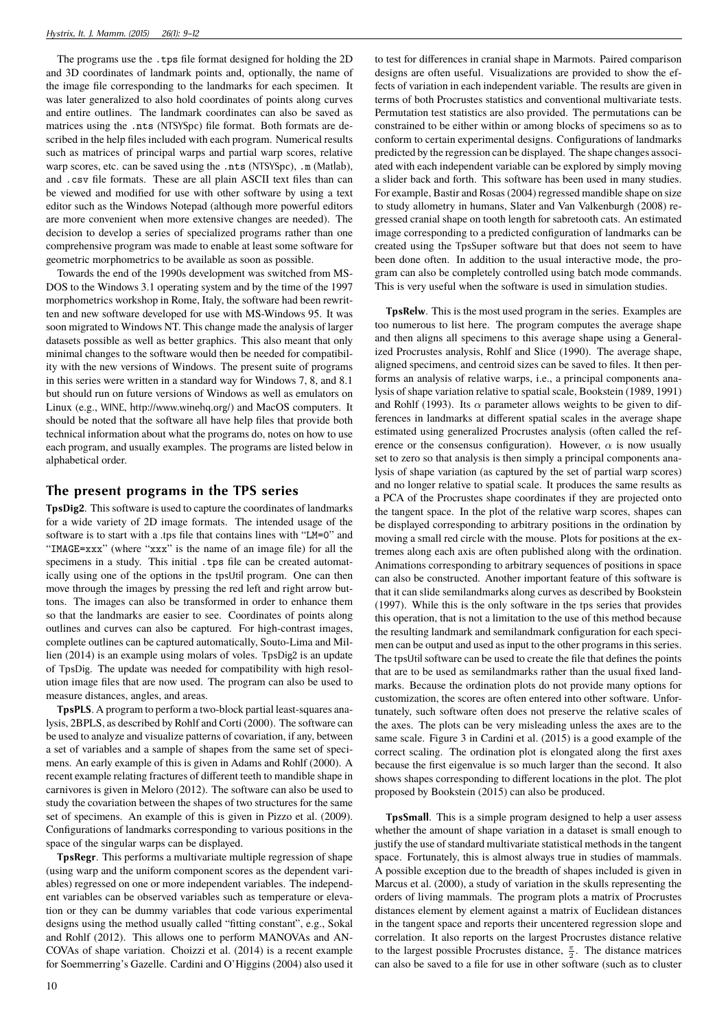The programs use the .tps file format designed for holding the 2D and 3D coordinates of landmark points and, optionally, the name of the image file corresponding to the landmarks for each specimen. It was later generalized to also hold coordinates of points along curves and entire outlines. The landmark coordinates can also be saved as matrices using the .nts (NTSYSpc) file format. Both formats are described in the help files included with each program. Numerical results such as matrices of principal warps and partial warp scores, relative warp scores, etc. can be saved using the .nts (NTSYSpc), .m (Matlab), and .csv file formats. These are all plain ASCII text files than can be viewed and modified for use with other software by using a text editor such as the Windows Notepad (although more powerful editors are more convenient when more extensive changes are needed). The decision to develop a series of specialized programs rather than one comprehensive program was made to enable at least some software for geometric morphometrics to be available as soon as possible.

Towards the end of the 1990s development was switched from MS-DOS to the Windows 3.1 operating system and by the time of the 1997 morphometrics workshop in Rome, Italy, the software had been rewritten and new software developed for use with MS-Windows 95. It was soon migrated to Windows NT. This change made the analysis of larger datasets possible as well as better graphics. This also meant that only minimal changes to the software would then be needed for compatibility with the new versions of Windows. The present suite of programs in this series were written in a standard way for Windows 7, 8, and 8.1 but should run on future versions of Windows as well as emulators on Linux (e.g., WINE, http://www.winehq.org/) and MacOS computers. It should be noted that the software all have help files that provide both technical information about what the programs do, notes on how to use each program, and usually examples. The programs are listed below in alphabetical order.

## **The present programs in the TPS series**

**TpsDig2**. This software is used to capture the coordinates of landmarks for a wide variety of 2D image formats. The intended usage of the software is to start with a .tps file that contains lines with "LM=0" and "IMAGE=xxx" (where "xxx" is the name of an image file) for all the specimens in a study. This initial .tps file can be created automatically using one of the options in the tpsUtil program. One can then move through the images by pressing the red left and right arrow buttons. The images can also be transformed in order to enhance them so that the landmarks are easier to see. Coordinates of points along outlines and curves can also be captured. For high-contrast images, complete outlines can be captured automatically, Souto-Lima and Millien (2014) is an example using molars of voles. TpsDig2 is an update of TpsDig. The update was needed for compatibility with high resolution image files that are now used. The program can also be used to measure distances, angles, and areas.

**TpsPLS**. A program to perform a two-block partial least-squares analysis, 2BPLS, as described by Rohlf and Corti (2000). The software can be used to analyze and visualize patterns of covariation, if any, between a set of variables and a sample of shapes from the same set of specimens. An early example of this is given in Adams and Rohlf (2000). A recent example relating fractures of different teeth to mandible shape in carnivores is given in Meloro (2012). The software can also be used to study the covariation between the shapes of two structures for the same set of specimens. An example of this is given in Pizzo et al. (2009). Configurations of landmarks corresponding to various positions in the space of the singular warps can be displayed.

**TpsRegr**. This performs a multivariate multiple regression of shape (using warp and the uniform component scores as the dependent variables) regressed on one or more independent variables. The independent variables can be observed variables such as temperature or elevation or they can be dummy variables that code various experimental designs using the method usually called "fitting constant", e.g., Sokal and Rohlf (2012). This allows one to perform MANOVAs and AN-COVAs of shape variation. Choizzi et al. (2014) is a recent example for Soemmerring's Gazelle. Cardini and O'Higgins (2004) also used it to test for differences in cranial shape in Marmots. Paired comparison designs are often useful. Visualizations are provided to show the effects of variation in each independent variable. The results are given in terms of both Procrustes statistics and conventional multivariate tests. Permutation test statistics are also provided. The permutations can be constrained to be either within or among blocks of specimens so as to conform to certain experimental designs. Configurations of landmarks predicted by the regression can be displayed. The shape changes associated with each independent variable can be explored by simply moving a slider back and forth. This software has been used in many studies. For example, Bastir and Rosas (2004) regressed mandible shape on size to study allometry in humans, Slater and Van Valkenburgh (2008) regressed cranial shape on tooth length for sabretooth cats. An estimated image corresponding to a predicted configuration of landmarks can be created using the TpsSuper software but that does not seem to have been done often. In addition to the usual interactive mode, the program can also be completely controlled using batch mode commands. This is very useful when the software is used in simulation studies.

**TpsRelw**. This is the most used program in the series. Examples are too numerous to list here. The program computes the average shape and then aligns all specimens to this average shape using a Generalized Procrustes analysis, Rohlf and Slice (1990). The average shape, aligned specimens, and centroid sizes can be saved to files. It then performs an analysis of relative warps, i.e., a principal components analysis of shape variation relative to spatial scale, Bookstein (1989, 1991) and Rohlf (1993). Its  $\alpha$  parameter allows weights to be given to differences in landmarks at different spatial scales in the average shape estimated using generalized Procrustes analysis (often called the reference or the consensus configuration). However,  $\alpha$  is now usually set to zero so that analysis is then simply a principal components analysis of shape variation (as captured by the set of partial warp scores) and no longer relative to spatial scale. It produces the same results as a PCA of the Procrustes shape coordinates if they are projected onto the tangent space. In the plot of the relative warp scores, shapes can be displayed corresponding to arbitrary positions in the ordination by moving a small red circle with the mouse. Plots for positions at the extremes along each axis are often published along with the ordination. Animations corresponding to arbitrary sequences of positions in space can also be constructed. Another important feature of this software is that it can slide semilandmarks along curves as described by Bookstein (1997). While this is the only software in the tps series that provides this operation, that is not a limitation to the use of this method because the resulting landmark and semilandmark configuration for each specimen can be output and used as input to the other programs in this series. The tpsUtil software can be used to create the file that defines the points that are to be used as semilandmarks rather than the usual fixed landmarks. Because the ordination plots do not provide many options for customization, the scores are often entered into other software. Unfortunately, such software often does not preserve the relative scales of the axes. The plots can be very misleading unless the axes are to the same scale. Figure 3 in Cardini et al. (2015) is a good example of the correct scaling. The ordination plot is elongated along the first axes because the first eigenvalue is so much larger than the second. It also shows shapes corresponding to different locations in the plot. The plot proposed by Bookstein (2015) can also be produced.

**TpsSmall**. This is a simple program designed to help a user assess whether the amount of shape variation in a dataset is small enough to justify the use of standard multivariate statistical methods in the tangent space. Fortunately, this is almost always true in studies of mammals. A possible exception due to the breadth of shapes included is given in Marcus et al. (2000), a study of variation in the skulls representing the orders of living mammals. The program plots a matrix of Procrustes distances element by element against a matrix of Euclidean distances in the tangent space and reports their uncentered regression slope and correlation. It also reports on the largest Procrustes distance relative to the largest possible Procrustes distance,  $\frac{\pi}{2}$ . The distance matrices can also be saved to a file for use in other software (such as to cluster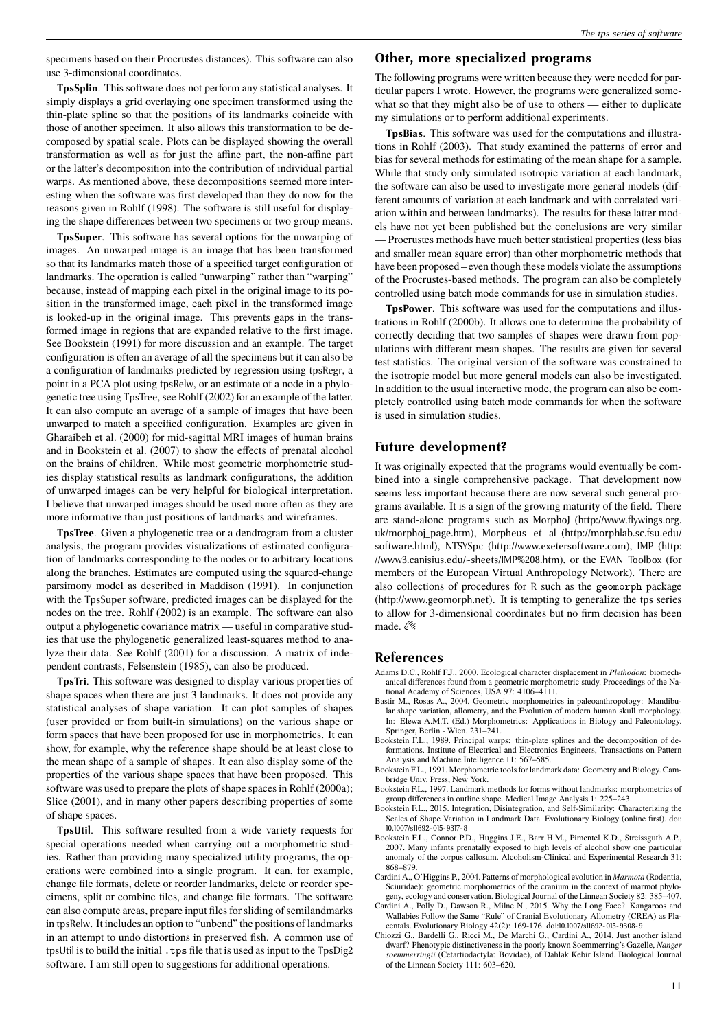specimens based on their Procrustes distances). This software can also use 3-dimensional coordinates.

**TpsSplin**. This software does not perform any statistical analyses. It simply displays a grid overlaying one specimen transformed using the thin-plate spline so that the positions of its landmarks coincide with those of another specimen. It also allows this transformation to be decomposed by spatial scale. Plots can be displayed showing the overall transformation as well as for just the affine part, the non-affine part or the latter's decomposition into the contribution of individual partial warps. As mentioned above, these decompositions seemed more interesting when the software was first developed than they do now for the reasons given in Rohlf (1998). The software is still useful for displaying the shape differences between two specimens or two group means.

**TpsSuper**. This software has several options for the unwarping of images. An unwarped image is an image that has been transformed so that its landmarks match those of a specified target configuration of landmarks. The operation is called "unwarping" rather than "warping" because, instead of mapping each pixel in the original image to its position in the transformed image, each pixel in the transformed image is looked-up in the original image. This prevents gaps in the transformed image in regions that are expanded relative to the first image. See Bookstein (1991) for more discussion and an example. The target configuration is often an average of all the specimens but it can also be a configuration of landmarks predicted by regression using tpsRegr, a point in a PCA plot using tpsRelw, or an estimate of a node in a phylogenetic tree using TpsTree, see Rohlf (2002) for an example of the latter. It can also compute an average of a sample of images that have been unwarped to match a specified configuration. Examples are given in Gharaibeh et al. (2000) for mid-sagittal MRI images of human brains and in Bookstein et al. (2007) to show the effects of prenatal alcohol on the brains of children. While most geometric morphometric studies display statistical results as landmark configurations, the addition of unwarped images can be very helpful for biological interpretation. I believe that unwarped images should be used more often as they are more informative than just positions of landmarks and wireframes.

**TpsTree**. Given a phylogenetic tree or a dendrogram from a cluster analysis, the program provides visualizations of estimated configuration of landmarks corresponding to the nodes or to arbitrary locations along the branches. Estimates are computed using the squared-change parsimony model as described in Maddison (1991). In conjunction with the TpsSuper software, predicted images can be displayed for the nodes on the tree. Rohlf (2002) is an example. The software can also output a phylogenetic covariance matrix — useful in comparative studies that use the phylogenetic generalized least-squares method to analyze their data. See Rohlf (2001) for a discussion. A matrix of independent contrasts, Felsenstein (1985), can also be produced.

**TpsTri**. This software was designed to display various properties of shape spaces when there are just 3 landmarks. It does not provide any statistical analyses of shape variation. It can plot samples of shapes (user provided or from built-in simulations) on the various shape or form spaces that have been proposed for use in morphometrics. It can show, for example, why the reference shape should be at least close to the mean shape of a sample of shapes. It can also display some of the properties of the various shape spaces that have been proposed. This software was used to prepare the plots of shape spaces in Rohlf (2000a); Slice (2001), and in many other papers describing properties of some of shape spaces.

**TpsUtil**. This software resulted from a wide variety requests for special operations needed when carrying out a morphometric studies. Rather than providing many specialized utility programs, the operations were combined into a single program. It can, for example, change file formats, delete or reorder landmarks, delete or reorder specimens, split or combine files, and change file formats. The software can also compute areas, prepare input files for sliding of semilandmarks in tpsRelw. It includes an option to "unbend" the positions of landmarks in an attempt to undo distortions in preserved fish. A common use of tpsUtil is to build the initial .tps file that is used as input to the TpsDig2 software. I am still open to suggestions for additional operations.

## **Other, more specialized programs**

The following programs were written because they were needed for particular papers I wrote. However, the programs were generalized somewhat so that they might also be of use to others — either to duplicate my simulations or to perform additional experiments.

**TpsBias**. This software was used for the computations and illustrations in Rohlf (2003). That study examined the patterns of error and bias for several methods for estimating of the mean shape for a sample. While that study only simulated isotropic variation at each landmark, the software can also be used to investigate more general models (different amounts of variation at each landmark and with correlated variation within and between landmarks). The results for these latter models have not yet been published but the conclusions are very similar — Procrustes methods have much better statistical properties (less bias and smaller mean square error) than other morphometric methods that have been proposed – even though these models violate the assumptions of the Procrustes-based methods. The program can also be completely controlled using batch mode commands for use in simulation studies.

**TpsPower**. This software was used for the computations and illustrations in Rohlf (2000b). It allows one to determine the probability of correctly deciding that two samples of shapes were drawn from populations with different mean shapes. The results are given for several test statistics. The original version of the software was constrained to the isotropic model but more general models can also be investigated. In addition to the usual interactive mode, the program can also be completely controlled using batch mode commands for when the software is used in simulation studies.

# **Future development?**

It was originally expected that the programs would eventually be combined into a single comprehensive package. That development now seems less important because there are now several such general programs available. It is a sign of the growing maturity of the field. There are stand-alone programs such as MorphoJ (http://www.flywings.org. uk/morphoj\_page.htm), Morpheus et al (http://morphlab.sc.fsu.edu/ software.html), NTSYSpc (http://www.exetersoftware.com), IMP (http: //www3.canisius.edu/~sheets/IMP%208.htm), or the EVAN Toolbox (for members of the European Virtual Anthropology Network). There are also collections of procedures for R such as the geomorph package (http://www.geomorph.net). It is tempting to generalize the tps series to allow for 3-dimensional coordinates but no firm decision has been made. 6%

#### **References**

- Adams D.C., Rohlf F.J., 2000. Ecological character displacement in *Plethodon*: biomechanical differences found from a geometric morphometric study. Proceedings of the National Academy of Sciences, USA 97: 4106–4111.
- Bastir M., Rosas A., 2004. Geometric morphometrics in paleoanthropology: Mandibular shape variation, allometry, and the Evolution of modern human skull morphology. In: Elewa A.M.T. (Ed.) Morphometrics: Applications in Biology and Paleontology. Springer, Berlin - Wien. 231–241.
- Bookstein F.L., 1989. Principal warps: thin-plate splines and the decomposition of deformations. Institute of Electrical and Electronics Engineers, Transactions on Pattern Analysis and Machine Intelligence 11: 567–585.
- Bookstein F.L., 1991. Morphometric tools for landmark data: Geometry and Biology. Cambridge Univ. Press, New York.
- Bookstein F.L., 1997. Landmark methods for forms without landmarks: morphometrics of group differences in outline shape. Medical Image Analysis 1: 225–243.
- Bookstein F.L., 2015. Integration, Disintegration, and Self-Similarity: Characterizing the Scales of Shape Variation in Landmark Data. Evolutionary Biology (online first). doi: 10.1007/s11692-015-9317-8
- Bookstein F.L., Connor P.D., Huggins J.E., Barr H.M., Pimentel K.D., Streissguth A.P., 2007. Many infants prenatally exposed to high levels of alcohol show one particular anomaly of the corpus callosum. Alcoholism-Clinical and Experimental Research 31: 868–879.
- Cardini A., O'Higgins P., 2004. Patterns of morphological evolution in *Marmota* (Rodentia, Sciuridae): geometric morphometrics of the cranium in the context of marmot phylogeny, ecology and conservation. Biological Journal of the Linnean Society 82: 385–407.
- Cardini A., Polly D., Dawson R., Milne N., 2015. Why the Long Face? Kangaroos and Wallabies Follow the Same "Rule" of Cranial Evolutionary Allometry (CREA) as Placentals. Evolutionary Biology 42(2): 169-176. doi:10.1007/s11692-015-9308-9
- Chiozzi G., Bardelli G., Ricci M., De Marchi G., Cardini A., 2014. Just another island dwarf? Phenotypic distinctiveness in the poorly known Soemmerring's Gazelle, *Nanger soemmerringii* (Cetartiodactyla: Bovidae), of Dahlak Kebir Island. Biological Journal of the Linnean Society 111: 603–620.